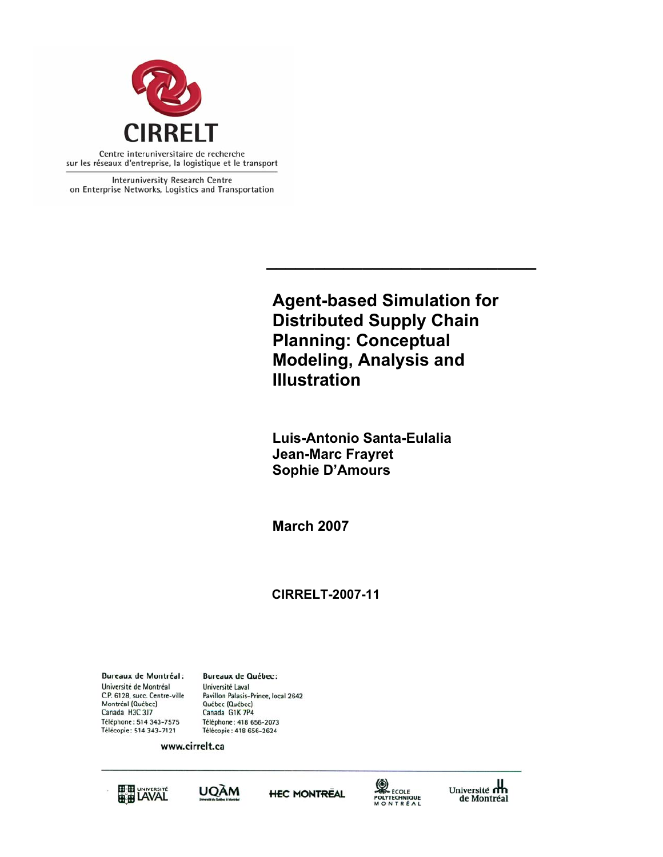

Interuniversity Research Centre on Enterprise Networks, Logistics and Transportation

> **Agent-based Simulation for Distributed Supply Chain Planning: Conceptual Modeling, Analysis and Illustration**

**\_\_\_\_\_\_\_\_\_\_\_\_\_\_\_\_\_\_\_\_\_\_\_\_\_\_\_\_** 

**Luis-Antonio Santa-Eulalia Jean-Marc Frayret Sophie D'Amours**

**March 2007** 

# **CIRRELT-2007-11**

**Bureaux de Montréal:** Université de Montréal C.P. 6128, succ. Centre-ville Montréal (Québec) Canada H3C 3J7 Téléphone: 514 343-7575 Télécopie: 514 343-7121

**Bureaux de Québec:** Université Laval Pavillon Palasis-Prince, local 2642 Québec (Québec) Canada G1K 7P4 Téléphone: 418 656-2073 Télécopie: 418 656-2624

www.cirrelt.ca









Université<br>de Montréal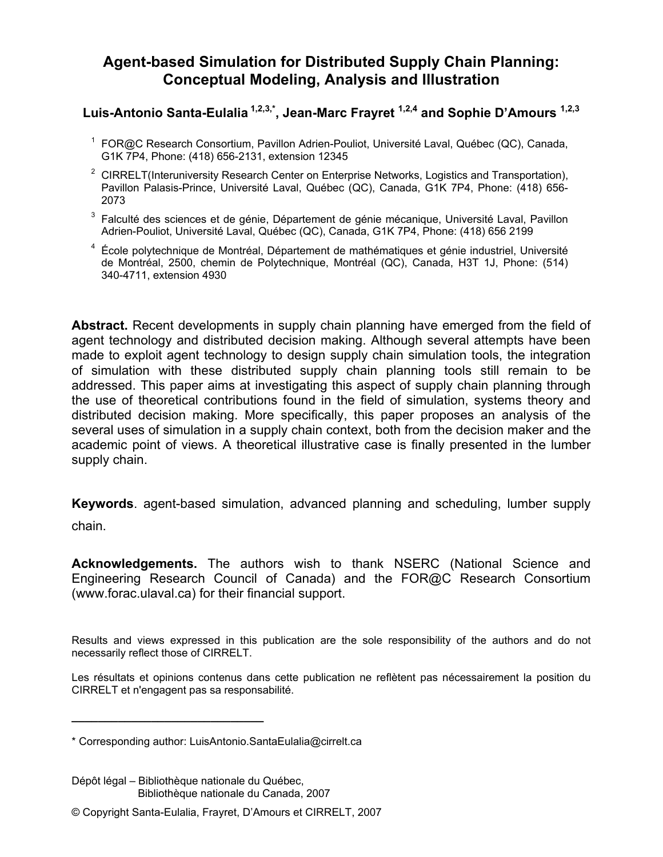# **Agent-based Simulation for Distributed Supply Chain Planning: Conceptual Modeling, Analysis and Illustration**

# **Luis-Antonio Santa-Eulalia 1,2,3,\*, Jean-Marc Frayret 1,2,4 and Sophie D'Amours 1,2,3**

- <sup>1</sup> FOR@C Research Consortium, Pavillon Adrien-Pouliot, Université Laval, Québec (QC), Canada, G1K 7P4, Phone: (418) 656-2131, extension 12345
- <sup>2</sup> CIRRELT(Interuniversity Research Center on Enterprise Networks, Logistics and Transportation), Pavillon Palasis-Prince, Université Laval, Québec (QC), Canada, G1K 7P4, Phone: (418) 656- 2073
- $3$  Falculté des sciences et de génie, Département de génie mécanique, Université Laval, Pavillon Adrien-Pouliot, Université Laval, Québec (QC), Canada, G1K 7P4, Phone: (418) 656 2199
- 4 École polytechnique de Montréal, Département de mathématiques et génie industriel, Université de Montréal, 2500, chemin de Polytechnique, Montréal (QC), Canada, H3T 1J, Phone: (514) 340-4711, extension 4930

**Abstract.** Recent developments in supply chain planning have emerged from the field of agent technology and distributed decision making. Although several attempts have been made to exploit agent technology to design supply chain simulation tools, the integration of simulation with these distributed supply chain planning tools still remain to be addressed. This paper aims at investigating this aspect of supply chain planning through the use of theoretical contributions found in the field of simulation, systems theory and distributed decision making. More specifically, this paper proposes an analysis of the several uses of simulation in a supply chain context, both from the decision maker and the academic point of views. A theoretical illustrative case is finally presented in the lumber supply chain.

**Keywords**. agent-based simulation, advanced planning and scheduling, lumber supply chain.

**Acknowledgements.** The authors wish to thank NSERC (National Science and Engineering Research Council of Canada) and the FOR@C Research Consortium (www.forac.ulaval.ca) for their financial support.

Results and views expressed in this publication are the sole responsibility of the authors and do not necessarily reflect those of CIRRELT.

Les résultats et opinions contenus dans cette publication ne reflètent pas nécessairement la position du CIRRELT et n'engagent pas sa responsabilité.

**\_\_\_\_\_\_\_\_\_\_\_\_\_\_\_\_\_\_\_\_\_\_\_\_\_\_\_\_\_**

<sup>\*</sup> Corresponding author: LuisAntonio.SantaEulalia@cirrelt.ca

Dépôt légal – Bibliothèque nationale du Québec, Bibliothèque nationale du Canada, 2007

<sup>©</sup> Copyright Santa-Eulalia, Frayret, D'Amours et CIRRELT, 2007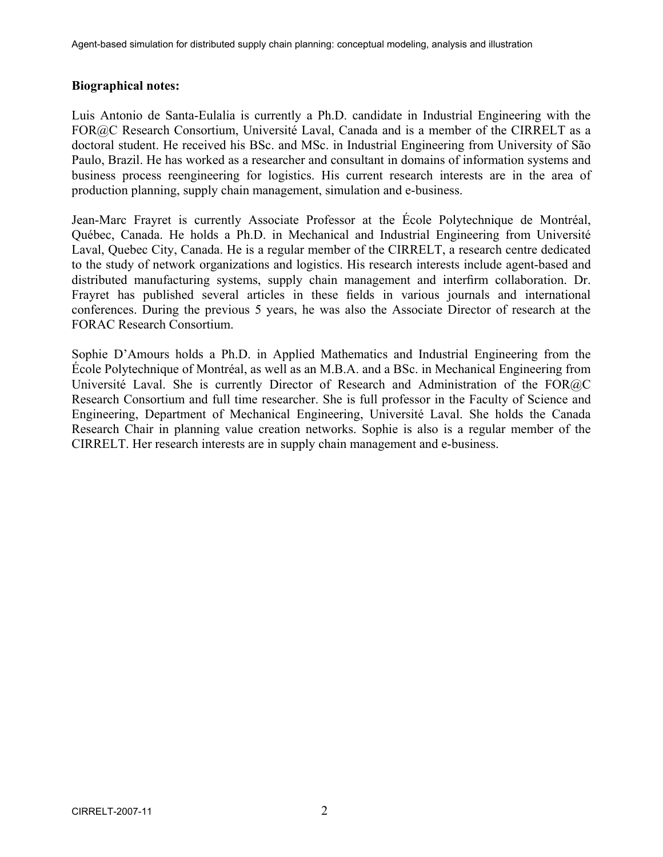### **Biographical notes:**

Luis Antonio de Santa-Eulalia is currently a Ph.D. candidate in Industrial Engineering with the FOR@C Research Consortium, Université Laval, Canada and is a member of the CIRRELT as a doctoral student. He received his BSc. and MSc. in Industrial Engineering from University of São Paulo, Brazil. He has worked as a researcher and consultant in domains of information systems and business process reengineering for logistics. His current research interests are in the area of production planning, supply chain management, simulation and e-business.

Jean-Marc Frayret is currently Associate Professor at the École Polytechnique de Montréal, Québec, Canada. He holds a Ph.D. in Mechanical and Industrial Engineering from Université Laval, Quebec City, Canada. He is a regular member of the CIRRELT, a research centre dedicated to the study of network organizations and logistics. His research interests include agent-based and distributed manufacturing systems, supply chain management and interfirm collaboration. Dr. Frayret has published several articles in these fields in various journals and international conferences. During the previous 5 years, he was also the Associate Director of research at the FORAC Research Consortium.

Sophie D'Amours holds a Ph.D. in Applied Mathematics and Industrial Engineering from the École Polytechnique of Montréal, as well as an M.B.A. and a BSc. in Mechanical Engineering from Université Laval. She is currently Director of Research and Administration of the FOR@C Research Consortium and full time researcher. She is full professor in the Faculty of Science and Engineering, Department of Mechanical Engineering, Université Laval. She holds the Canada Research Chair in planning value creation networks. Sophie is also is a regular member of the CIRRELT. Her research interests are in supply chain management and e-business.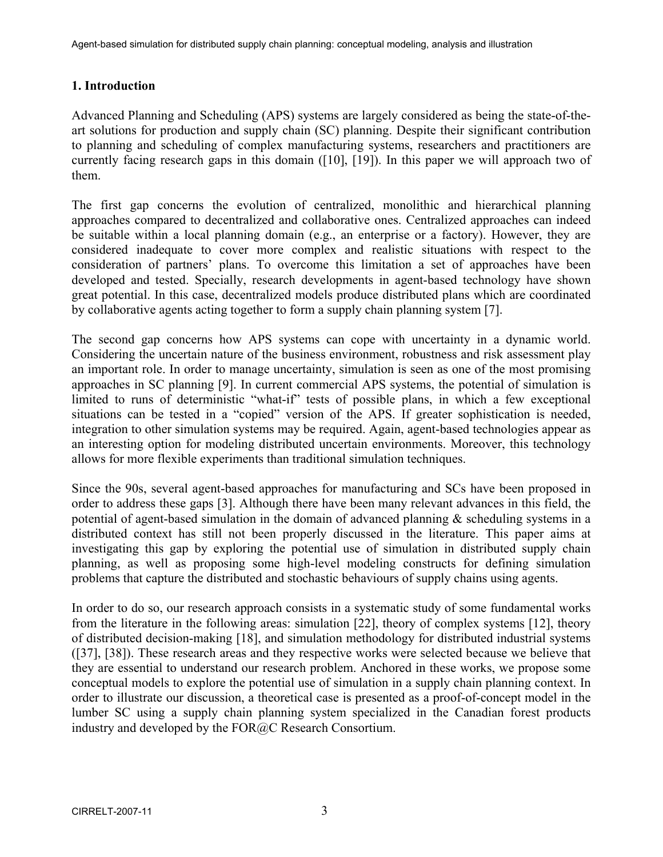## **1. Introduction**

Advanced Planning and Scheduling (APS) systems are largely considered as being the state-of-theart solutions for production and supply chain (SC) planning. Despite their significant contribution to planning and scheduling of complex manufacturing systems, researchers and practitioners are currently facing research gaps in this domain ([10], [19]). In this paper we will approach two of them.

The first gap concerns the evolution of centralized, monolithic and hierarchical planning approaches compared to decentralized and collaborative ones. Centralized approaches can indeed be suitable within a local planning domain (e.g., an enterprise or a factory). However, they are considered inadequate to cover more complex and realistic situations with respect to the consideration of partners' plans. To overcome this limitation a set of approaches have been developed and tested. Specially, research developments in agent-based technology have shown great potential. In this case, decentralized models produce distributed plans which are coordinated by collaborative agents acting together to form a supply chain planning system [7].

The second gap concerns how APS systems can cope with uncertainty in a dynamic world. Considering the uncertain nature of the business environment, robustness and risk assessment play an important role. In order to manage uncertainty, simulation is seen as one of the most promising approaches in SC planning [9]. In current commercial APS systems, the potential of simulation is limited to runs of deterministic "what-if" tests of possible plans, in which a few exceptional situations can be tested in a "copied" version of the APS. If greater sophistication is needed, integration to other simulation systems may be required. Again, agent-based technologies appear as an interesting option for modeling distributed uncertain environments. Moreover, this technology allows for more flexible experiments than traditional simulation techniques.

Since the 90s, several agent-based approaches for manufacturing and SCs have been proposed in order to address these gaps [3]. Although there have been many relevant advances in this field, the potential of agent-based simulation in the domain of advanced planning  $\&$  scheduling systems in a distributed context has still not been properly discussed in the literature. This paper aims at investigating this gap by exploring the potential use of simulation in distributed supply chain planning, as well as proposing some high-level modeling constructs for defining simulation problems that capture the distributed and stochastic behaviours of supply chains using agents.

In order to do so, our research approach consists in a systematic study of some fundamental works from the literature in the following areas: simulation [22], theory of complex systems [12], theory of distributed decision-making [18], and simulation methodology for distributed industrial systems ([37], [38]). These research areas and they respective works were selected because we believe that they are essential to understand our research problem. Anchored in these works, we propose some conceptual models to explore the potential use of simulation in a supply chain planning context. In order to illustrate our discussion, a theoretical case is presented as a proof-of-concept model in the lumber SC using a supply chain planning system specialized in the Canadian forest products industry and developed by the FOR@C Research Consortium.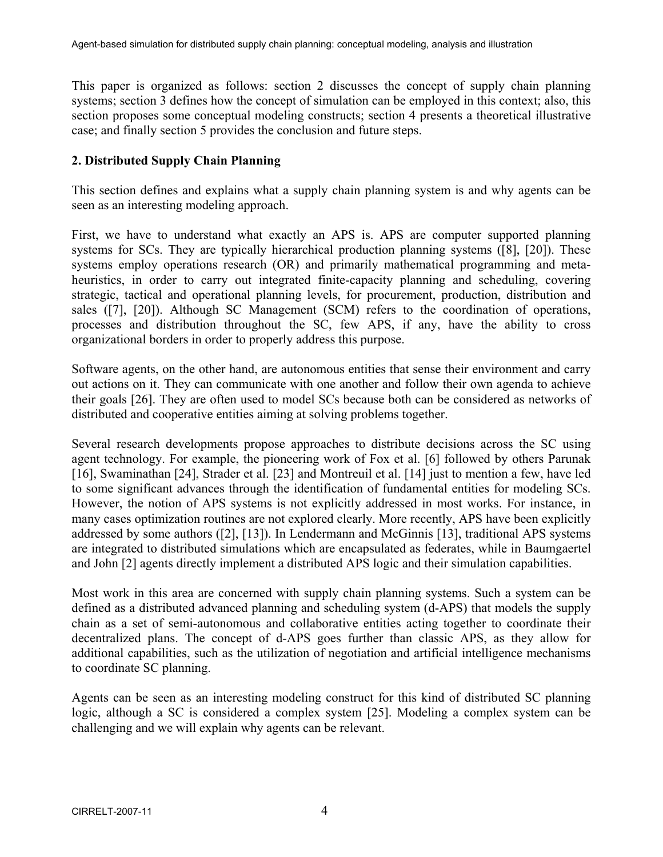This paper is organized as follows: section 2 discusses the concept of supply chain planning systems; section 3 defines how the concept of simulation can be employed in this context; also, this section proposes some conceptual modeling constructs; section 4 presents a theoretical illustrative case; and finally section 5 provides the conclusion and future steps.

## **2. Distributed Supply Chain Planning**

This section defines and explains what a supply chain planning system is and why agents can be seen as an interesting modeling approach.

First, we have to understand what exactly an APS is. APS are computer supported planning systems for SCs. They are typically hierarchical production planning systems ([8], [20]). These systems employ operations research (OR) and primarily mathematical programming and metaheuristics, in order to carry out integrated finite-capacity planning and scheduling, covering strategic, tactical and operational planning levels, for procurement, production, distribution and sales ([7], [20]). Although SC Management (SCM) refers to the coordination of operations, processes and distribution throughout the SC, few APS, if any, have the ability to cross organizational borders in order to properly address this purpose.

Software agents, on the other hand, are autonomous entities that sense their environment and carry out actions on it. They can communicate with one another and follow their own agenda to achieve their goals [26]. They are often used to model SCs because both can be considered as networks of distributed and cooperative entities aiming at solving problems together.

Several research developments propose approaches to distribute decisions across the SC using agent technology. For example, the pioneering work of Fox et al. [6] followed by others Parunak [16], Swaminathan [24], Strader et al. [23] and Montreuil et al. [14] just to mention a few, have led to some significant advances through the identification of fundamental entities for modeling SCs. However, the notion of APS systems is not explicitly addressed in most works. For instance, in many cases optimization routines are not explored clearly. More recently, APS have been explicitly addressed by some authors ([2], [13]). In Lendermann and McGinnis [13], traditional APS systems are integrated to distributed simulations which are encapsulated as federates, while in Baumgaertel and John [2] agents directly implement a distributed APS logic and their simulation capabilities.

Most work in this area are concerned with supply chain planning systems. Such a system can be defined as a distributed advanced planning and scheduling system (d-APS) that models the supply chain as a set of semi-autonomous and collaborative entities acting together to coordinate their decentralized plans. The concept of d-APS goes further than classic APS, as they allow for additional capabilities, such as the utilization of negotiation and artificial intelligence mechanisms to coordinate SC planning.

Agents can be seen as an interesting modeling construct for this kind of distributed SC planning logic, although a SC is considered a complex system [25]. Modeling a complex system can be challenging and we will explain why agents can be relevant.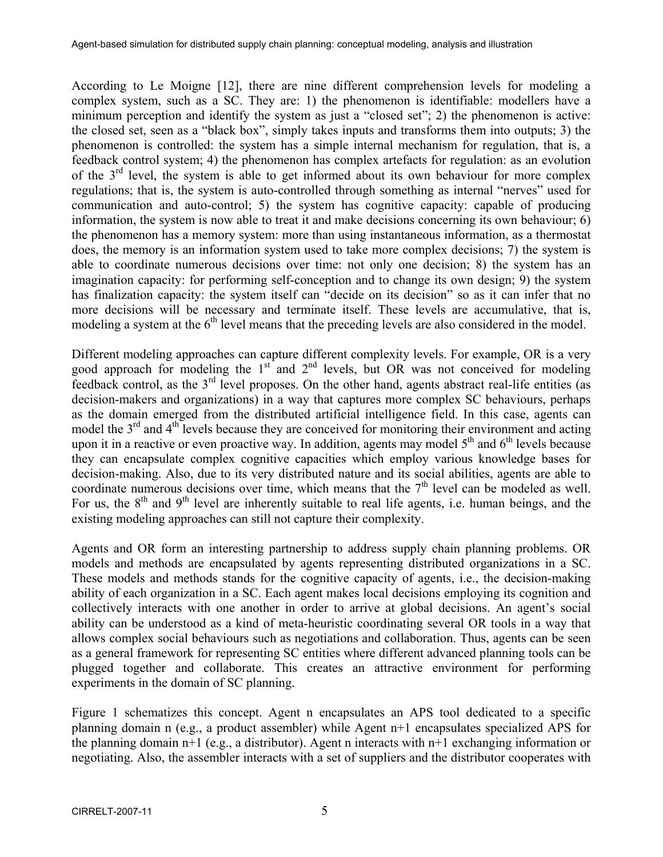According to Le Moigne [12], there are nine different comprehension levels for modeling a complex system, such as a SC. They are: 1) the phenomenon is identifiable: modellers have a minimum perception and identify the system as just a "closed set"; 2) the phenomenon is active: the closed set, seen as a "black box", simply takes inputs and transforms them into outputs; 3) the phenomenon is controlled: the system has a simple internal mechanism for regulation, that is, a feedback control system; 4) the phenomenon has complex artefacts for regulation: as an evolution of the 3rd level, the system is able to get informed about its own behaviour for more complex regulations; that is, the system is auto-controlled through something as internal "nerves" used for communication and auto-control; 5) the system has cognitive capacity: capable of producing information, the system is now able to treat it and make decisions concerning its own behaviour; 6) the phenomenon has a memory system: more than using instantaneous information, as a thermostat does, the memory is an information system used to take more complex decisions; 7) the system is able to coordinate numerous decisions over time: not only one decision; 8) the system has an imagination capacity: for performing self-conception and to change its own design; 9) the system has finalization capacity: the system itself can "decide on its decision" so as it can infer that no more decisions will be necessary and terminate itself. These levels are accumulative, that is, modeling a system at the  $6<sup>th</sup>$  level means that the preceding levels are also considered in the model.

Different modeling approaches can capture different complexity levels. For example, OR is a very good approach for modeling the  $1<sup>st</sup>$  and  $2<sup>nd</sup>$  levels, but OR was not conceived for modeling feedback control, as the  $3<sup>rd</sup>$  level proposes. On the other hand, agents abstract real-life entities (as decision-makers and organizations) in a way that captures more complex SC behaviours, perhaps as the domain emerged from the distributed artificial intelligence field. In this case, agents can model the  $3<sup>rd</sup>$  and  $4<sup>th</sup>$  levels because they are conceived for monitoring their environment and acting upon it in a reactive or even proactive way. In addition, agents may model  $5<sup>th</sup>$  and  $6<sup>th</sup>$  levels because they can encapsulate complex cognitive capacities which employ various knowledge bases for decision-making. Also, due to its very distributed nature and its social abilities, agents are able to coordinate numerous decisions over time, which means that the  $7<sup>th</sup>$  level can be modeled as well. For us, the  $8<sup>th</sup>$  and  $9<sup>th</sup>$  level are inherently suitable to real life agents, i.e. human beings, and the existing modeling approaches can still not capture their complexity.

Agents and OR form an interesting partnership to address supply chain planning problems. OR models and methods are encapsulated by agents representing distributed organizations in a SC. These models and methods stands for the cognitive capacity of agents, i.e., the decision-making ability of each organization in a SC. Each agent makes local decisions employing its cognition and collectively interacts with one another in order to arrive at global decisions. An agent's social ability can be understood as a kind of meta-heuristic coordinating several OR tools in a way that allows complex social behaviours such as negotiations and collaboration. Thus, agents can be seen as a general framework for representing SC entities where different advanced planning tools can be plugged together and collaborate. This creates an attractive environment for performing experiments in the domain of SC planning.

Figure 1 schematizes this concept. Agent n encapsulates an APS tool dedicated to a specific planning domain n (e.g., a product assembler) while Agent n+1 encapsulates specialized APS for the planning domain n+1 (e.g., a distributor). Agent n interacts with n+1 exchanging information or negotiating. Also, the assembler interacts with a set of suppliers and the distributor cooperates with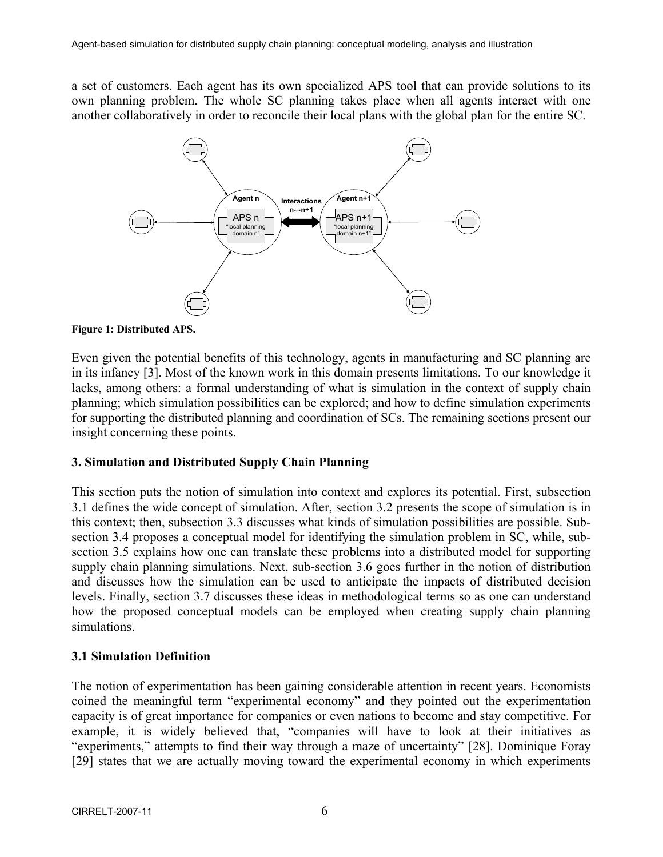a set of customers. Each agent has its own specialized APS tool that can provide solutions to its own planning problem. The whole SC planning takes place when all agents interact with one another collaboratively in order to reconcile their local plans with the global plan for the entire SC.



**Figure 1: Distributed APS.** 

Even given the potential benefits of this technology, agents in manufacturing and SC planning are in its infancy [3]. Most of the known work in this domain presents limitations. To our knowledge it lacks, among others: a formal understanding of what is simulation in the context of supply chain planning; which simulation possibilities can be explored; and how to define simulation experiments for supporting the distributed planning and coordination of SCs. The remaining sections present our insight concerning these points.

### **3. Simulation and Distributed Supply Chain Planning**

This section puts the notion of simulation into context and explores its potential. First, subsection 3.1 defines the wide concept of simulation. After, section 3.2 presents the scope of simulation is in this context; then, subsection 3.3 discusses what kinds of simulation possibilities are possible. Subsection 3.4 proposes a conceptual model for identifying the simulation problem in SC, while, subsection 3.5 explains how one can translate these problems into a distributed model for supporting supply chain planning simulations. Next, sub-section 3.6 goes further in the notion of distribution and discusses how the simulation can be used to anticipate the impacts of distributed decision levels. Finally, section 3.7 discusses these ideas in methodological terms so as one can understand how the proposed conceptual models can be employed when creating supply chain planning simulations.

### **3.1 Simulation Definition**

The notion of experimentation has been gaining considerable attention in recent years. Economists coined the meaningful term "experimental economy" and they pointed out the experimentation capacity is of great importance for companies or even nations to become and stay competitive. For example, it is widely believed that, "companies will have to look at their initiatives as "experiments," attempts to find their way through a maze of uncertainty" [28]. Dominique Foray [29] states that we are actually moving toward the experimental economy in which experiments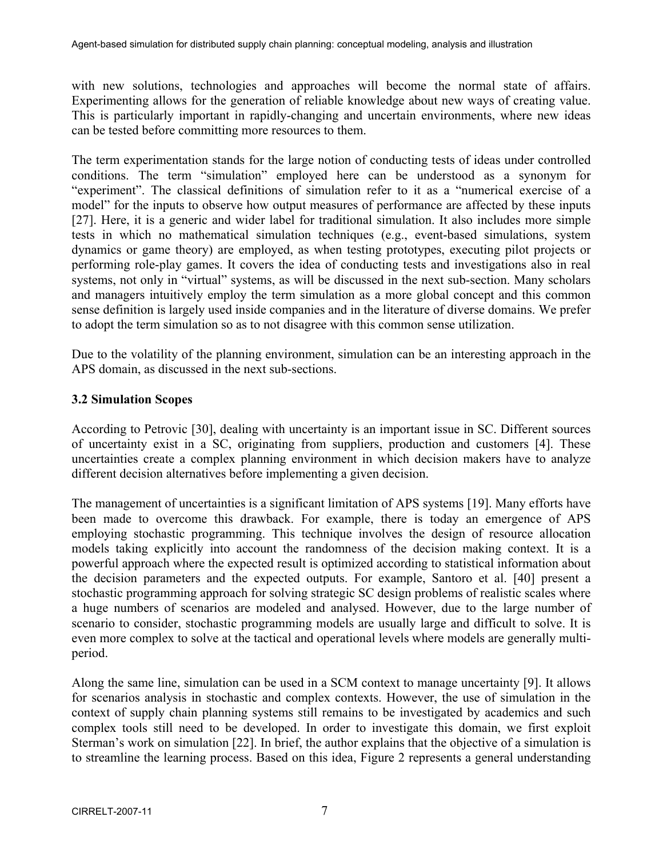with new solutions, technologies and approaches will become the normal state of affairs. Experimenting allows for the generation of reliable knowledge about new ways of creating value. This is particularly important in rapidly-changing and uncertain environments, where new ideas can be tested before committing more resources to them.

The term experimentation stands for the large notion of conducting tests of ideas under controlled conditions. The term "simulation" employed here can be understood as a synonym for "experiment". The classical definitions of simulation refer to it as a "numerical exercise of a model" for the inputs to observe how output measures of performance are affected by these inputs [27]. Here, it is a generic and wider label for traditional simulation. It also includes more simple tests in which no mathematical simulation techniques (e.g., event-based simulations, system dynamics or game theory) are employed, as when testing prototypes, executing pilot projects or performing role-play games. It covers the idea of conducting tests and investigations also in real systems, not only in "virtual" systems, as will be discussed in the next sub-section. Many scholars and managers intuitively employ the term simulation as a more global concept and this common sense definition is largely used inside companies and in the literature of diverse domains. We prefer to adopt the term simulation so as to not disagree with this common sense utilization.

Due to the volatility of the planning environment, simulation can be an interesting approach in the APS domain, as discussed in the next sub-sections.

### **3.2 Simulation Scopes**

According to Petrovic [30], dealing with uncertainty is an important issue in SC. Different sources of uncertainty exist in a SC, originating from suppliers, production and customers [4]. These uncertainties create a complex planning environment in which decision makers have to analyze different decision alternatives before implementing a given decision.

The management of uncertainties is a significant limitation of APS systems [19]. Many efforts have been made to overcome this drawback. For example, there is today an emergence of APS employing stochastic programming. This technique involves the design of resource allocation models taking explicitly into account the randomness of the decision making context. It is a powerful approach where the expected result is optimized according to statistical information about the decision parameters and the expected outputs. For example, Santoro et al. [40] present a stochastic programming approach for solving strategic SC design problems of realistic scales where a huge numbers of scenarios are modeled and analysed. However, due to the large number of scenario to consider, stochastic programming models are usually large and difficult to solve. It is even more complex to solve at the tactical and operational levels where models are generally multiperiod.

Along the same line, simulation can be used in a SCM context to manage uncertainty [9]. It allows for scenarios analysis in stochastic and complex contexts. However, the use of simulation in the context of supply chain planning systems still remains to be investigated by academics and such complex tools still need to be developed. In order to investigate this domain, we first exploit Sterman's work on simulation [22]. In brief, the author explains that the objective of a simulation is to streamline the learning process. Based on this idea, Figure 2 represents a general understanding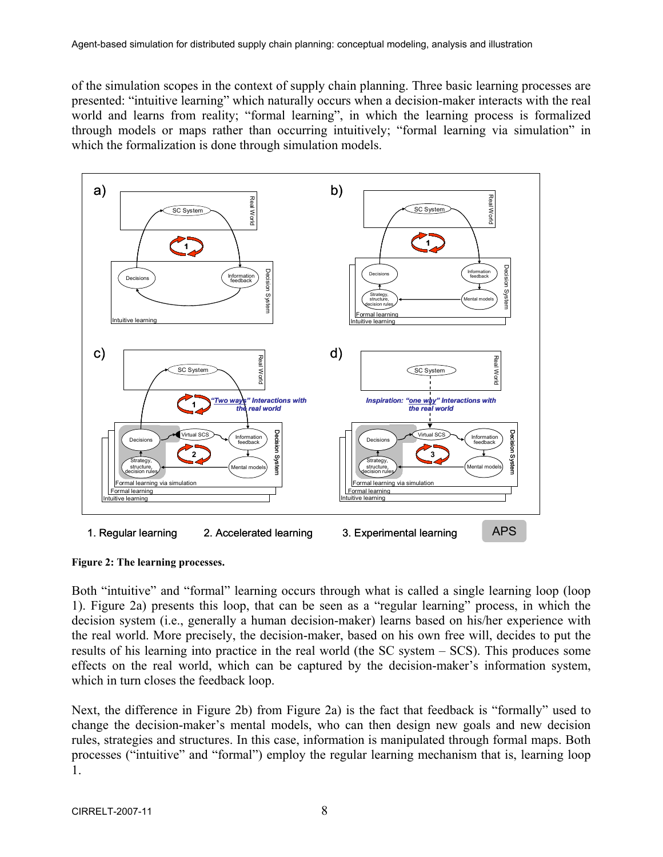of the simulation scopes in the context of supply chain planning. Three basic learning processes are presented: "intuitive learning" which naturally occurs when a decision-maker interacts with the real world and learns from reality; "formal learning", in which the learning process is formalized through models or maps rather than occurring intuitively; "formal learning via simulation" in which the formalization is done through simulation models.



**Figure 2: The learning processes.** 

Both "intuitive" and "formal" learning occurs through what is called a single learning loop (loop 1). Figure 2a) presents this loop, that can be seen as a "regular learning" process, in which the decision system (i.e., generally a human decision-maker) learns based on his/her experience with the real world. More precisely, the decision-maker, based on his own free will, decides to put the results of his learning into practice in the real world (the SC system – SCS). This produces some effects on the real world, which can be captured by the decision-maker's information system, which in turn closes the feedback loop.

Next, the difference in Figure 2b) from Figure 2a) is the fact that feedback is "formally" used to change the decision-maker's mental models, who can then design new goals and new decision rules, strategies and structures. In this case, information is manipulated through formal maps. Both processes ("intuitive" and "formal") employ the regular learning mechanism that is, learning loop 1.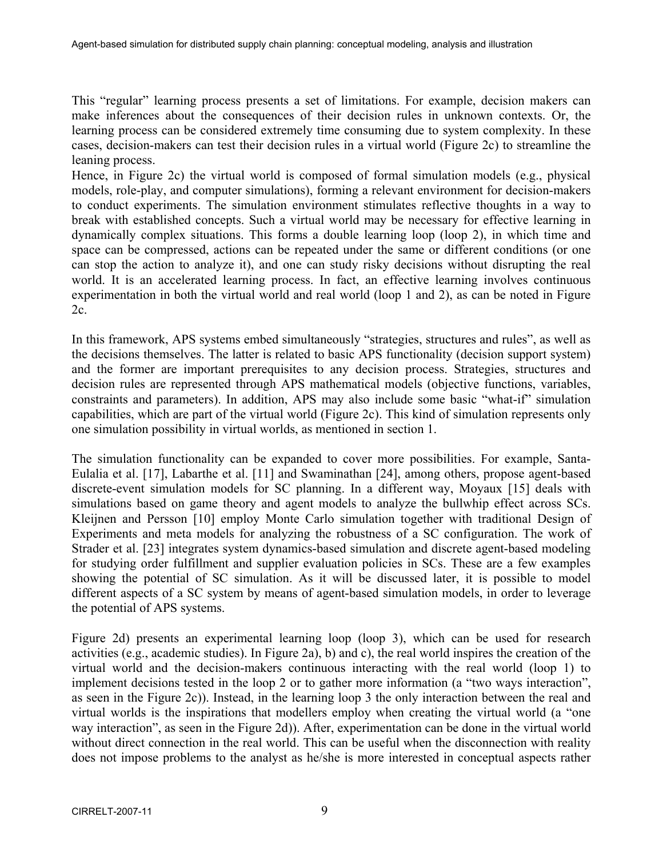This "regular" learning process presents a set of limitations. For example, decision makers can make inferences about the consequences of their decision rules in unknown contexts. Or, the learning process can be considered extremely time consuming due to system complexity. In these cases, decision-makers can test their decision rules in a virtual world (Figure 2c) to streamline the leaning process.

Hence, in Figure 2c) the virtual world is composed of formal simulation models (e.g., physical models, role-play, and computer simulations), forming a relevant environment for decision-makers to conduct experiments. The simulation environment stimulates reflective thoughts in a way to break with established concepts. Such a virtual world may be necessary for effective learning in dynamically complex situations. This forms a double learning loop (loop 2), in which time and space can be compressed, actions can be repeated under the same or different conditions (or one can stop the action to analyze it), and one can study risky decisions without disrupting the real world. It is an accelerated learning process. In fact, an effective learning involves continuous experimentation in both the virtual world and real world (loop 1 and 2), as can be noted in Figure 2c.

In this framework, APS systems embed simultaneously "strategies, structures and rules", as well as the decisions themselves. The latter is related to basic APS functionality (decision support system) and the former are important prerequisites to any decision process. Strategies, structures and decision rules are represented through APS mathematical models (objective functions, variables, constraints and parameters). In addition, APS may also include some basic "what-if" simulation capabilities, which are part of the virtual world (Figure 2c). This kind of simulation represents only one simulation possibility in virtual worlds, as mentioned in section 1.

The simulation functionality can be expanded to cover more possibilities. For example, Santa-Eulalia et al. [17], Labarthe et al. [11] and Swaminathan [24], among others, propose agent-based discrete-event simulation models for SC planning. In a different way, Moyaux [15] deals with simulations based on game theory and agent models to analyze the bullwhip effect across SCs. Kleijnen and Persson [10] employ Monte Carlo simulation together with traditional Design of Experiments and meta models for analyzing the robustness of a SC configuration. The work of Strader et al. [23] integrates system dynamics-based simulation and discrete agent-based modeling for studying order fulfillment and supplier evaluation policies in SCs. These are a few examples showing the potential of SC simulation. As it will be discussed later, it is possible to model different aspects of a SC system by means of agent-based simulation models, in order to leverage the potential of APS systems.

Figure 2d) presents an experimental learning loop (loop 3), which can be used for research activities (e.g., academic studies). In Figure 2a), b) and c), the real world inspires the creation of the virtual world and the decision-makers continuous interacting with the real world (loop 1) to implement decisions tested in the loop 2 or to gather more information (a "two ways interaction", as seen in the Figure 2c)). Instead, in the learning loop 3 the only interaction between the real and virtual worlds is the inspirations that modellers employ when creating the virtual world (a "one way interaction", as seen in the Figure 2d)). After, experimentation can be done in the virtual world without direct connection in the real world. This can be useful when the disconnection with reality does not impose problems to the analyst as he/she is more interested in conceptual aspects rather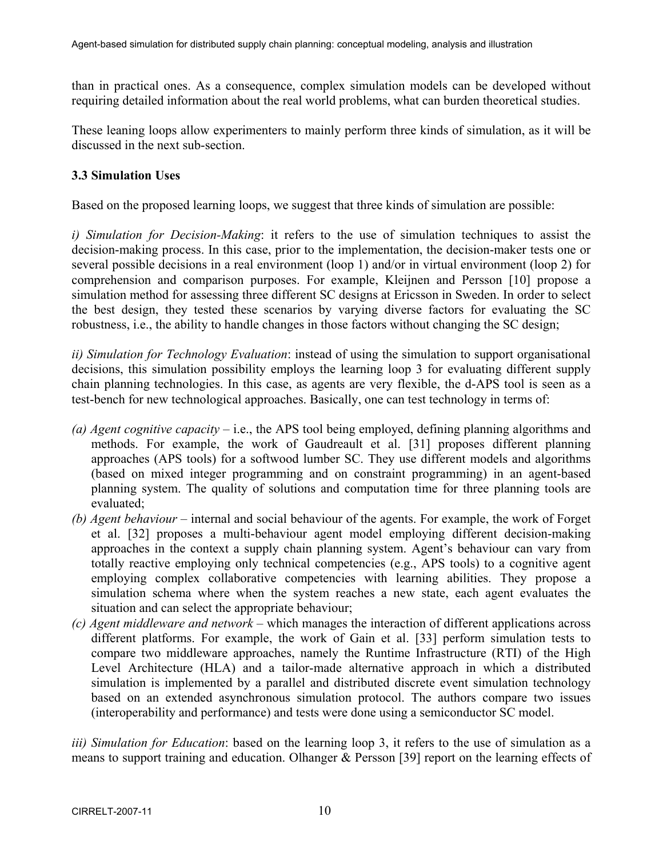than in practical ones. As a consequence, complex simulation models can be developed without requiring detailed information about the real world problems, what can burden theoretical studies.

These leaning loops allow experimenters to mainly perform three kinds of simulation, as it will be discussed in the next sub-section.

## **3.3 Simulation Uses**

Based on the proposed learning loops, we suggest that three kinds of simulation are possible:

*i) Simulation for Decision-Making*: it refers to the use of simulation techniques to assist the decision-making process. In this case, prior to the implementation, the decision-maker tests one or several possible decisions in a real environment (loop 1) and/or in virtual environment (loop 2) for comprehension and comparison purposes. For example, Kleijnen and Persson [10] propose a simulation method for assessing three different SC designs at Ericsson in Sweden. In order to select the best design, they tested these scenarios by varying diverse factors for evaluating the SC robustness, i.e., the ability to handle changes in those factors without changing the SC design;

*ii) Simulation for Technology Evaluation*: instead of using the simulation to support organisational decisions, this simulation possibility employs the learning loop 3 for evaluating different supply chain planning technologies. In this case, as agents are very flexible, the d-APS tool is seen as a test-bench for new technological approaches. Basically, one can test technology in terms of:

- *(a) Agent cognitive capacity*  i.e., the APS tool being employed, defining planning algorithms and methods. For example, the work of Gaudreault et al. [31] proposes different planning approaches (APS tools) for a softwood lumber SC. They use different models and algorithms (based on mixed integer programming and on constraint programming) in an agent-based planning system. The quality of solutions and computation time for three planning tools are evaluated;
- *(b) Agent behaviour* internal and social behaviour of the agents. For example, the work of Forget et al. [32] proposes a multi-behaviour agent model employing different decision-making approaches in the context a supply chain planning system. Agent's behaviour can vary from totally reactive employing only technical competencies (e.g., APS tools) to a cognitive agent employing complex collaborative competencies with learning abilities. They propose a simulation schema where when the system reaches a new state, each agent evaluates the situation and can select the appropriate behaviour;
- *(c) Agent middleware and network* which manages the interaction of different applications across different platforms. For example, the work of Gain et al. [33] perform simulation tests to compare two middleware approaches, namely the Runtime Infrastructure (RTI) of the High Level Architecture (HLA) and a tailor-made alternative approach in which a distributed simulation is implemented by a parallel and distributed discrete event simulation technology based on an extended asynchronous simulation protocol. The authors compare two issues (interoperability and performance) and tests were done using a semiconductor SC model.

*iii) Simulation for Education*: based on the learning loop 3, it refers to the use of simulation as a means to support training and education. Olhanger & Persson [39] report on the learning effects of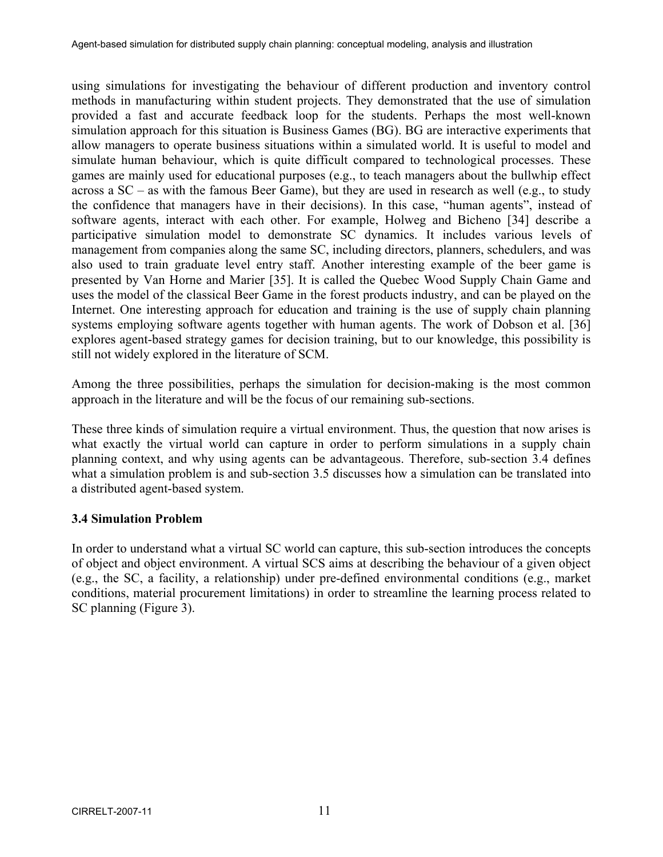using simulations for investigating the behaviour of different production and inventory control methods in manufacturing within student projects. They demonstrated that the use of simulation provided a fast and accurate feedback loop for the students. Perhaps the most well-known simulation approach for this situation is Business Games (BG). BG are interactive experiments that allow managers to operate business situations within a simulated world. It is useful to model and simulate human behaviour, which is quite difficult compared to technological processes. These games are mainly used for educational purposes (e.g., to teach managers about the bullwhip effect across a SC – as with the famous Beer Game), but they are used in research as well (e.g., to study the confidence that managers have in their decisions). In this case, "human agents", instead of software agents, interact with each other. For example, Holweg and Bicheno [34] describe a participative simulation model to demonstrate SC dynamics. It includes various levels of management from companies along the same SC, including directors, planners, schedulers, and was also used to train graduate level entry staff. Another interesting example of the beer game is presented by Van Horne and Marier [35]. It is called the Quebec Wood Supply Chain Game and uses the model of the classical Beer Game in the forest products industry, and can be played on the Internet. One interesting approach for education and training is the use of supply chain planning systems employing software agents together with human agents. The work of Dobson et al. [36] explores agent-based strategy games for decision training, but to our knowledge, this possibility is still not widely explored in the literature of SCM.

Among the three possibilities, perhaps the simulation for decision-making is the most common approach in the literature and will be the focus of our remaining sub-sections.

These three kinds of simulation require a virtual environment. Thus, the question that now arises is what exactly the virtual world can capture in order to perform simulations in a supply chain planning context, and why using agents can be advantageous. Therefore, sub-section 3.4 defines what a simulation problem is and sub-section 3.5 discusses how a simulation can be translated into a distributed agent-based system.

### **3.4 Simulation Problem**

In order to understand what a virtual SC world can capture, this sub-section introduces the concepts of object and object environment. A virtual SCS aims at describing the behaviour of a given object (e.g., the SC, a facility, a relationship) under pre-defined environmental conditions (e.g., market conditions, material procurement limitations) in order to streamline the learning process related to SC planning (Figure 3).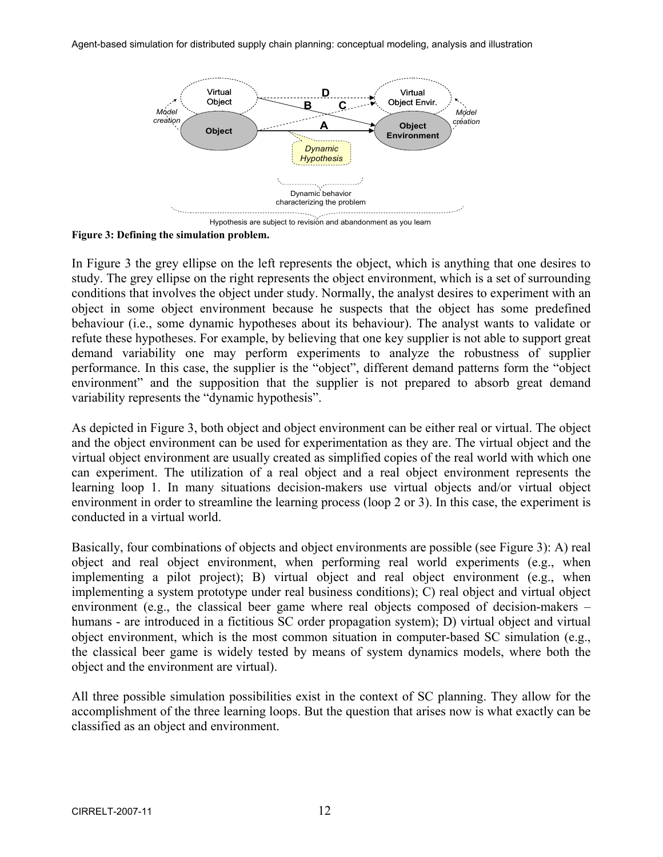Agent-based simulation for distributed supply chain planning: conceptual modeling, analysis and illustration



**Figure 3: Defining the simulation problem.** 

In Figure 3 the grey ellipse on the left represents the object, which is anything that one desires to study. The grey ellipse on the right represents the object environment, which is a set of surrounding conditions that involves the object under study. Normally, the analyst desires to experiment with an object in some object environment because he suspects that the object has some predefined behaviour (i.e., some dynamic hypotheses about its behaviour). The analyst wants to validate or refute these hypotheses. For example, by believing that one key supplier is not able to support great demand variability one may perform experiments to analyze the robustness of supplier performance. In this case, the supplier is the "object", different demand patterns form the "object environment" and the supposition that the supplier is not prepared to absorb great demand variability represents the "dynamic hypothesis".

As depicted in Figure 3, both object and object environment can be either real or virtual. The object and the object environment can be used for experimentation as they are. The virtual object and the virtual object environment are usually created as simplified copies of the real world with which one can experiment. The utilization of a real object and a real object environment represents the learning loop 1. In many situations decision-makers use virtual objects and/or virtual object environment in order to streamline the learning process (loop 2 or 3). In this case, the experiment is conducted in a virtual world.

Basically, four combinations of objects and object environments are possible (see Figure 3): A) real object and real object environment, when performing real world experiments (e.g., when implementing a pilot project); B) virtual object and real object environment (e.g., when implementing a system prototype under real business conditions); C) real object and virtual object environment (e.g., the classical beer game where real objects composed of decision-makers – humans - are introduced in a fictitious SC order propagation system); D) virtual object and virtual object environment, which is the most common situation in computer-based SC simulation (e.g., the classical beer game is widely tested by means of system dynamics models, where both the object and the environment are virtual).

All three possible simulation possibilities exist in the context of SC planning. They allow for the accomplishment of the three learning loops. But the question that arises now is what exactly can be classified as an object and environment.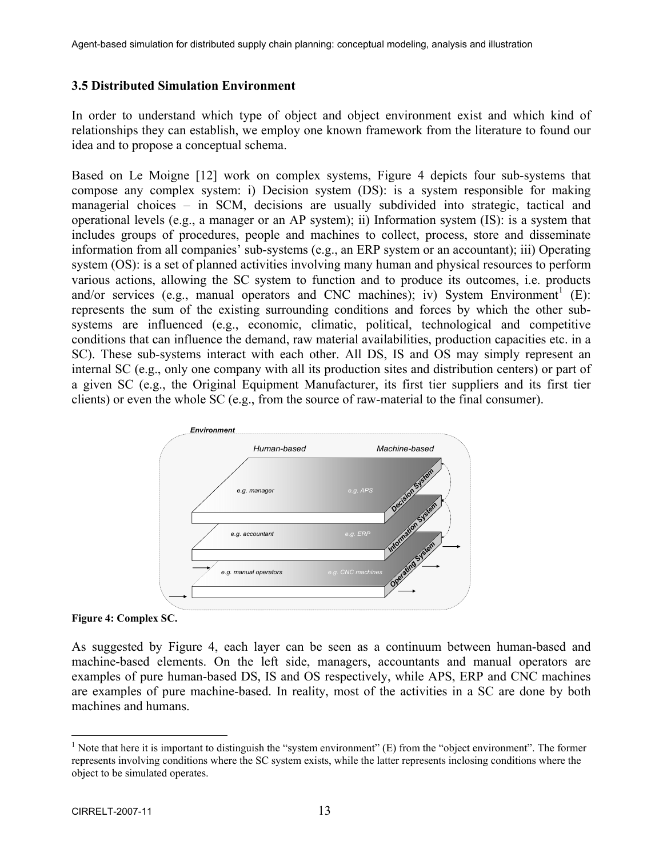### **3.5 Distributed Simulation Environment**

In order to understand which type of object and object environment exist and which kind of relationships they can establish, we employ one known framework from the literature to found our idea and to propose a conceptual schema.

Based on Le Moigne [12] work on complex systems, Figure 4 depicts four sub-systems that compose any complex system: i) Decision system (DS): is a system responsible for making managerial choices – in SCM, decisions are usually subdivided into strategic, tactical and operational levels (e.g., a manager or an AP system); ii) Information system (IS): is a system that includes groups of procedures, people and machines to collect, process, store and disseminate information from all companies' sub-systems (e.g., an ERP system or an accountant); iii) Operating system (OS): is a set of planned activities involving many human and physical resources to perform various actions, allowing the SC system to function and to produce its outcomes, i.e. products and/or services (e.g., manual operators and CNC machines); iv) System Environment<sup>1</sup> (E): represents the sum of the existing surrounding conditions and forces by which the other subsystems are influenced (e.g., economic, climatic, political, technological and competitive conditions that can influence the demand, raw material availabilities, production capacities etc. in a SC). These sub-systems interact with each other. All DS, IS and OS may simply represent an internal SC (e.g., only one company with all its production sites and distribution centers) or part of a given SC (e.g., the Original Equipment Manufacturer, its first tier suppliers and its first tier clients) or even the whole SC (e.g., from the source of raw-material to the final consumer).



#### **Figure 4: Complex SC.**

As suggested by Figure 4, each layer can be seen as a continuum between human-based and machine-based elements. On the left side, managers, accountants and manual operators are examples of pure human-based DS, IS and OS respectively, while APS, ERP and CNC machines are examples of pure machine-based. In reality, most of the activities in a SC are done by both machines and humans.

1

<sup>&</sup>lt;sup>1</sup> Note that here it is important to distinguish the "system environment" (E) from the "object environment". The former represents involving conditions where the SC system exists, while the latter represents inclosing conditions where the object to be simulated operates.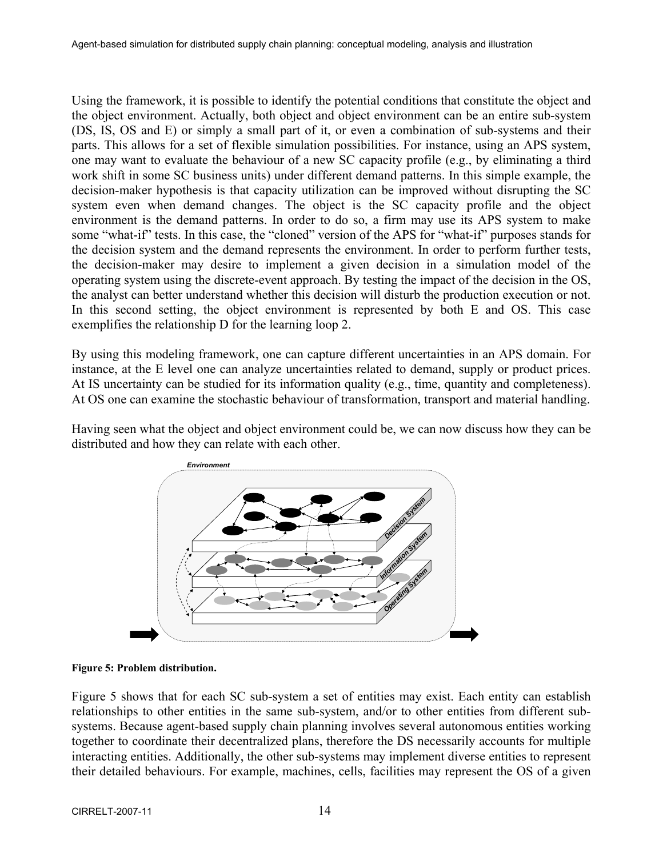Using the framework, it is possible to identify the potential conditions that constitute the object and the object environment. Actually, both object and object environment can be an entire sub-system (DS, IS, OS and E) or simply a small part of it, or even a combination of sub-systems and their parts. This allows for a set of flexible simulation possibilities. For instance, using an APS system, one may want to evaluate the behaviour of a new SC capacity profile (e.g., by eliminating a third work shift in some SC business units) under different demand patterns. In this simple example, the decision-maker hypothesis is that capacity utilization can be improved without disrupting the SC system even when demand changes. The object is the SC capacity profile and the object environment is the demand patterns. In order to do so, a firm may use its APS system to make some "what-if" tests. In this case, the "cloned" version of the APS for "what-if" purposes stands for the decision system and the demand represents the environment. In order to perform further tests, the decision-maker may desire to implement a given decision in a simulation model of the operating system using the discrete-event approach. By testing the impact of the decision in the OS, the analyst can better understand whether this decision will disturb the production execution or not. In this second setting, the object environment is represented by both E and OS. This case exemplifies the relationship D for the learning loop 2.

By using this modeling framework, one can capture different uncertainties in an APS domain. For instance, at the E level one can analyze uncertainties related to demand, supply or product prices. At IS uncertainty can be studied for its information quality (e.g., time, quantity and completeness). At OS one can examine the stochastic behaviour of transformation, transport and material handling.

Having seen what the object and object environment could be, we can now discuss how they can be distributed and how they can relate with each other.





Figure 5 shows that for each SC sub-system a set of entities may exist. Each entity can establish relationships to other entities in the same sub-system, and/or to other entities from different subsystems. Because agent-based supply chain planning involves several autonomous entities working together to coordinate their decentralized plans, therefore the DS necessarily accounts for multiple interacting entities. Additionally, the other sub-systems may implement diverse entities to represent their detailed behaviours. For example, machines, cells, facilities may represent the OS of a given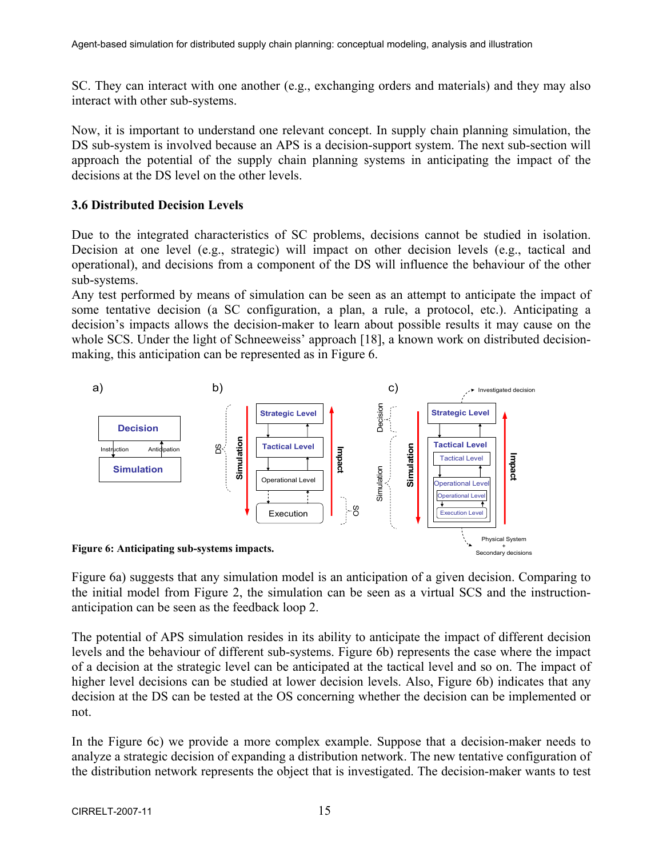SC. They can interact with one another (e.g., exchanging orders and materials) and they may also interact with other sub-systems.

Now, it is important to understand one relevant concept. In supply chain planning simulation, the DS sub-system is involved because an APS is a decision-support system. The next sub-section will approach the potential of the supply chain planning systems in anticipating the impact of the decisions at the DS level on the other levels.

### **3.6 Distributed Decision Levels**

Due to the integrated characteristics of SC problems, decisions cannot be studied in isolation. Decision at one level (e.g., strategic) will impact on other decision levels (e.g., tactical and operational), and decisions from a component of the DS will influence the behaviour of the other sub-systems.

Any test performed by means of simulation can be seen as an attempt to anticipate the impact of some tentative decision (a SC configuration, a plan, a rule, a protocol, etc.). Anticipating a decision's impacts allows the decision-maker to learn about possible results it may cause on the whole SCS. Under the light of Schneeweiss' approach [18], a known work on distributed decisionmaking, this anticipation can be represented as in Figure 6.



Figure 6a) suggests that any simulation model is an anticipation of a given decision. Comparing to the initial model from Figure 2, the simulation can be seen as a virtual SCS and the instructionanticipation can be seen as the feedback loop 2.

The potential of APS simulation resides in its ability to anticipate the impact of different decision levels and the behaviour of different sub-systems. Figure 6b) represents the case where the impact of a decision at the strategic level can be anticipated at the tactical level and so on. The impact of higher level decisions can be studied at lower decision levels. Also, Figure 6b) indicates that any decision at the DS can be tested at the OS concerning whether the decision can be implemented or not.

In the Figure 6c) we provide a more complex example. Suppose that a decision-maker needs to analyze a strategic decision of expanding a distribution network. The new tentative configuration of the distribution network represents the object that is investigated. The decision-maker wants to test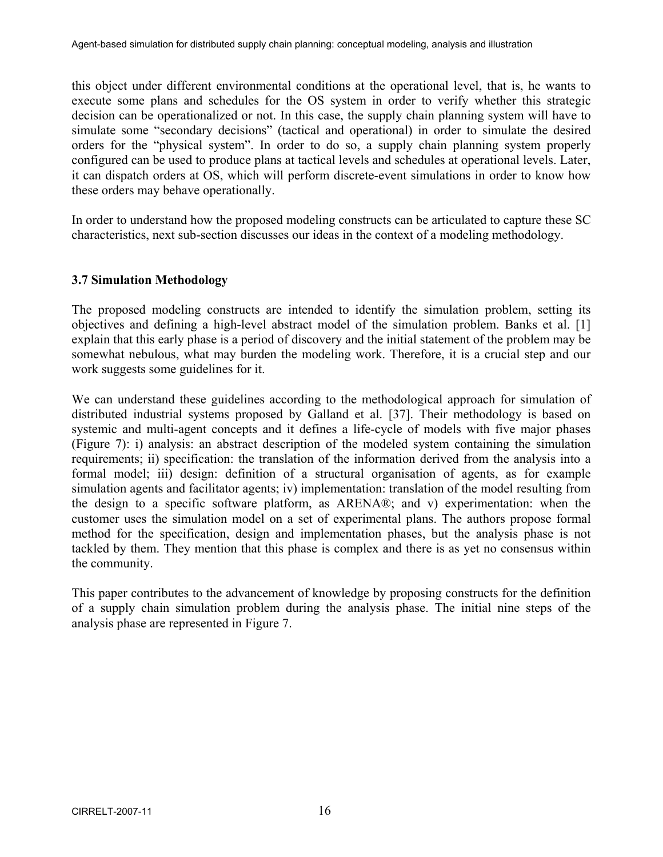this object under different environmental conditions at the operational level, that is, he wants to execute some plans and schedules for the OS system in order to verify whether this strategic decision can be operationalized or not. In this case, the supply chain planning system will have to simulate some "secondary decisions" (tactical and operational) in order to simulate the desired orders for the "physical system". In order to do so, a supply chain planning system properly configured can be used to produce plans at tactical levels and schedules at operational levels. Later, it can dispatch orders at OS, which will perform discrete-event simulations in order to know how these orders may behave operationally.

In order to understand how the proposed modeling constructs can be articulated to capture these SC characteristics, next sub-section discusses our ideas in the context of a modeling methodology.

# **3.7 Simulation Methodology**

The proposed modeling constructs are intended to identify the simulation problem, setting its objectives and defining a high-level abstract model of the simulation problem. Banks et al. [1] explain that this early phase is a period of discovery and the initial statement of the problem may be somewhat nebulous, what may burden the modeling work. Therefore, it is a crucial step and our work suggests some guidelines for it.

We can understand these guidelines according to the methodological approach for simulation of distributed industrial systems proposed by Galland et al. [37]. Their methodology is based on systemic and multi-agent concepts and it defines a life-cycle of models with five major phases (Figure 7): i) analysis: an abstract description of the modeled system containing the simulation requirements; ii) specification: the translation of the information derived from the analysis into a formal model; iii) design: definition of a structural organisation of agents, as for example simulation agents and facilitator agents; iv) implementation: translation of the model resulting from the design to a specific software platform, as ARENA®; and v) experimentation: when the customer uses the simulation model on a set of experimental plans. The authors propose formal method for the specification, design and implementation phases, but the analysis phase is not tackled by them. They mention that this phase is complex and there is as yet no consensus within the community.

This paper contributes to the advancement of knowledge by proposing constructs for the definition of a supply chain simulation problem during the analysis phase. The initial nine steps of the analysis phase are represented in Figure 7.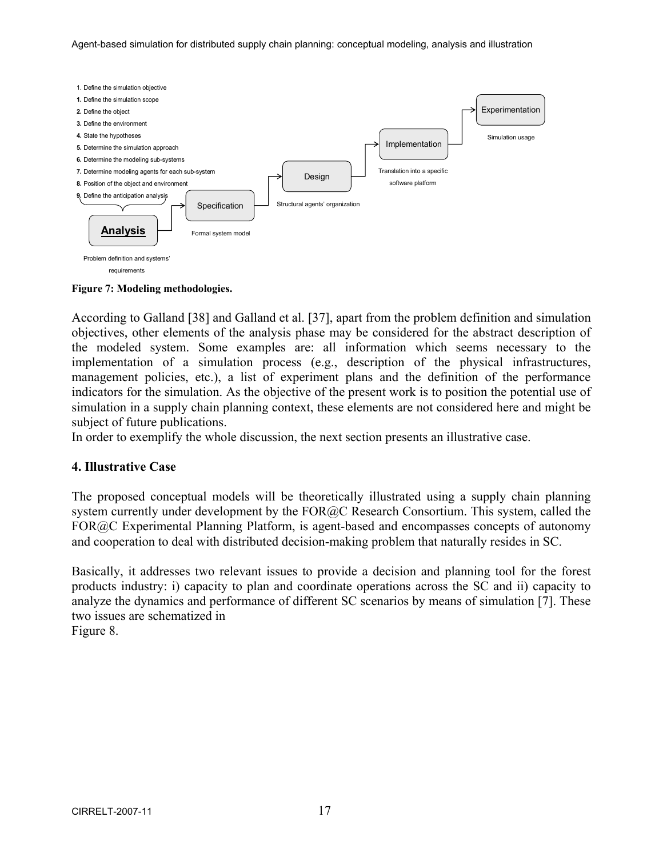Agent-based simulation for distributed supply chain planning: conceptual modeling, analysis and illustration



**Figure 7: Modeling methodologies.** 

According to Galland [38] and Galland et al. [37], apart from the problem definition and simulation objectives, other elements of the analysis phase may be considered for the abstract description of the modeled system. Some examples are: all information which seems necessary to the implementation of a simulation process (e.g., description of the physical infrastructures, management policies, etc.), a list of experiment plans and the definition of the performance indicators for the simulation. As the objective of the present work is to position the potential use of simulation in a supply chain planning context, these elements are not considered here and might be subject of future publications.

In order to exemplify the whole discussion, the next section presents an illustrative case.

### **4. Illustrative Case**

The proposed conceptual models will be theoretically illustrated using a supply chain planning system currently under development by the FOR@C Research Consortium. This system, called the FOR@C Experimental Planning Platform, is agent-based and encompasses concepts of autonomy and cooperation to deal with distributed decision-making problem that naturally resides in SC.

Basically, it addresses two relevant issues to provide a decision and planning tool for the forest products industry: i) capacity to plan and coordinate operations across the SC and ii) capacity to analyze the dynamics and performance of different SC scenarios by means of simulation [7]. These two issues are schematized in

Figure 8.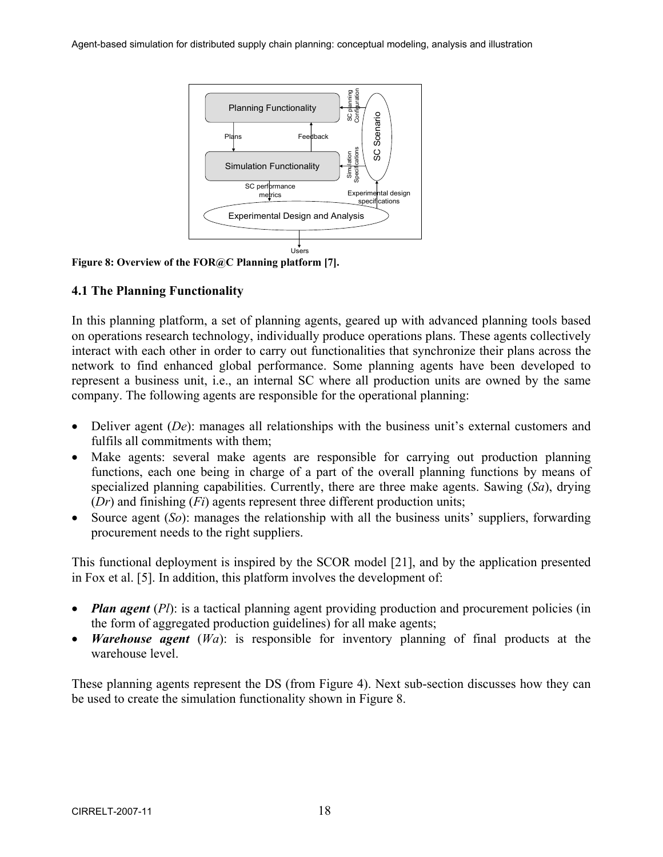

**Figure 8: Overview of the FOR@C Planning platform [7].** 

# **4.1 The Planning Functionality**

In this planning platform, a set of planning agents, geared up with advanced planning tools based on operations research technology, individually produce operations plans. These agents collectively interact with each other in order to carry out functionalities that synchronize their plans across the network to find enhanced global performance. Some planning agents have been developed to represent a business unit, i.e., an internal SC where all production units are owned by the same company. The following agents are responsible for the operational planning:

- Deliver agent *(De)*: manages all relationships with the business unit's external customers and fulfils all commitments with them;
- Make agents: several make agents are responsible for carrying out production planning functions, each one being in charge of a part of the overall planning functions by means of specialized planning capabilities. Currently, there are three make agents. Sawing (*Sa*), drying (*Dr*) and finishing (*Fi*) agents represent three different production units;
- Source agent (*So*): manages the relationship with all the business units' suppliers, forwarding procurement needs to the right suppliers.

This functional deployment is inspired by the SCOR model [21], and by the application presented in Fox et al. [5]. In addition, this platform involves the development of:

- *Plan agent* (*Pl*): is a tactical planning agent providing production and procurement policies (in the form of aggregated production guidelines) for all make agents;
- *Warehouse agent* (*Wa*): is responsible for inventory planning of final products at the warehouse level.

These planning agents represent the DS (from Figure 4). Next sub-section discusses how they can be used to create the simulation functionality shown in Figure 8.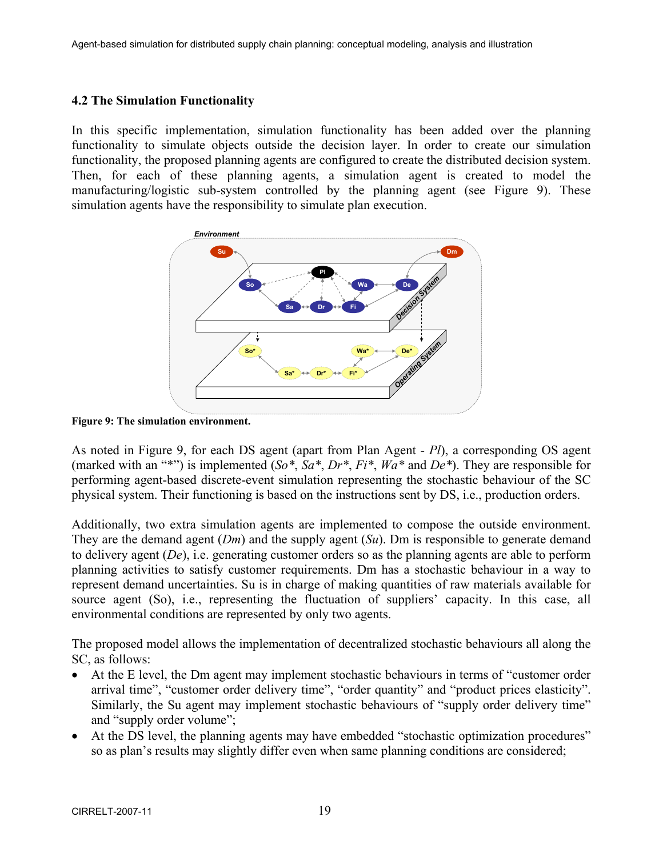### **4.2 The Simulation Functionality**

In this specific implementation, simulation functionality has been added over the planning functionality to simulate objects outside the decision layer. In order to create our simulation functionality, the proposed planning agents are configured to create the distributed decision system. Then, for each of these planning agents, a simulation agent is created to model the manufacturing/logistic sub-system controlled by the planning agent (see Figure 9). These simulation agents have the responsibility to simulate plan execution.



**Figure 9: The simulation environment.** 

As noted in Figure 9, for each DS agent (apart from Plan Agent - *Pl*), a corresponding OS agent (marked with an "\*") is implemented (*So\**, *Sa\**, *Dr\**, *Fi\**, *Wa\** and *De\**). They are responsible for performing agent-based discrete-event simulation representing the stochastic behaviour of the SC physical system. Their functioning is based on the instructions sent by DS, i.e., production orders.

Additionally, two extra simulation agents are implemented to compose the outside environment. They are the demand agent (*Dm*) and the supply agent (*Su*). Dm is responsible to generate demand to delivery agent (*De*), i.e. generating customer orders so as the planning agents are able to perform planning activities to satisfy customer requirements. Dm has a stochastic behaviour in a way to represent demand uncertainties. Su is in charge of making quantities of raw materials available for source agent (So), i.e., representing the fluctuation of suppliers' capacity. In this case, all environmental conditions are represented by only two agents.

The proposed model allows the implementation of decentralized stochastic behaviours all along the SC, as follows:

- At the E level, the Dm agent may implement stochastic behaviours in terms of "customer order arrival time", "customer order delivery time", "order quantity" and "product prices elasticity". Similarly, the Su agent may implement stochastic behaviours of "supply order delivery time" and "supply order volume";
- At the DS level, the planning agents may have embedded "stochastic optimization procedures" so as plan's results may slightly differ even when same planning conditions are considered;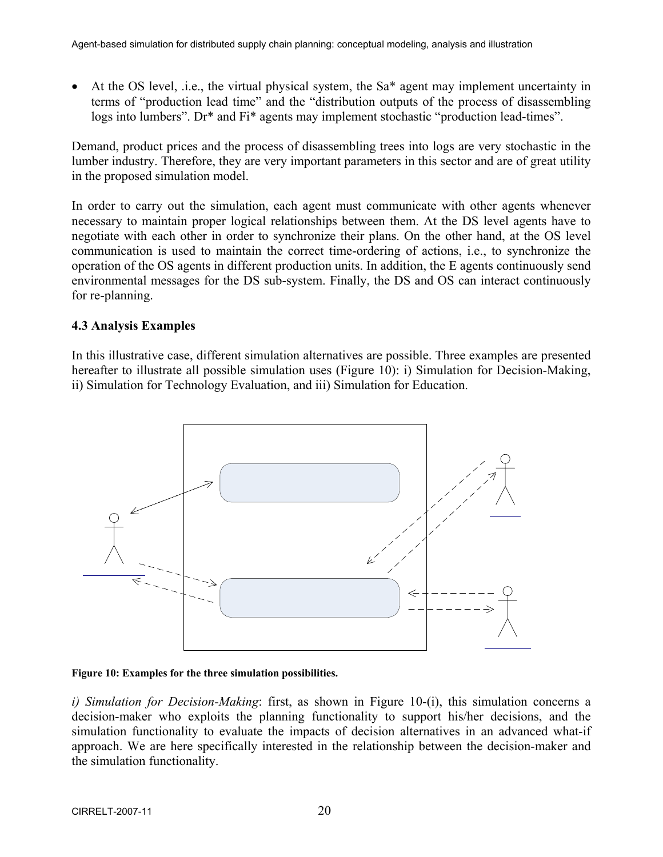• At the OS level, *i.e.*, the virtual physical system, the Sa<sup>\*</sup> agent may implement uncertainty in terms of "production lead time" and the "distribution outputs of the process of disassembling logs into lumbers". Dr<sup>\*</sup> and Fi<sup>\*</sup> agents may implement stochastic "production lead-times".

Demand, product prices and the process of disassembling trees into logs are very stochastic in the lumber industry. Therefore, they are very important parameters in this sector and are of great utility in the proposed simulation model.

In order to carry out the simulation, each agent must communicate with other agents whenever necessary to maintain proper logical relationships between them. At the DS level agents have to negotiate with each other in order to synchronize their plans. On the other hand, at the OS level communication is used to maintain the correct time-ordering of actions, i.e., to synchronize the operation of the OS agents in different production units. In addition, the E agents continuously send environmental messages for the DS sub-system. Finally, the DS and OS can interact continuously for re-planning.

### **4.3 Analysis Examples**

In this illustrative case, different simulation alternatives are possible. Three examples are presented hereafter to illustrate all possible simulation uses (Figure 10): i) Simulation for Decision-Making, ii) Simulation for Technology Evaluation, and iii) Simulation for Education.



**Figure 10: Examples for the three simulation possibilities.** 

*i) Simulation for Decision-Making*: first, as shown in Figure 10-(i), this simulation concerns a decision-maker who exploits the planning functionality to support his/her decisions, and the simulation functionality to evaluate the impacts of decision alternatives in an advanced what-if approach. We are here specifically interested in the relationship between the decision-maker and the simulation functionality.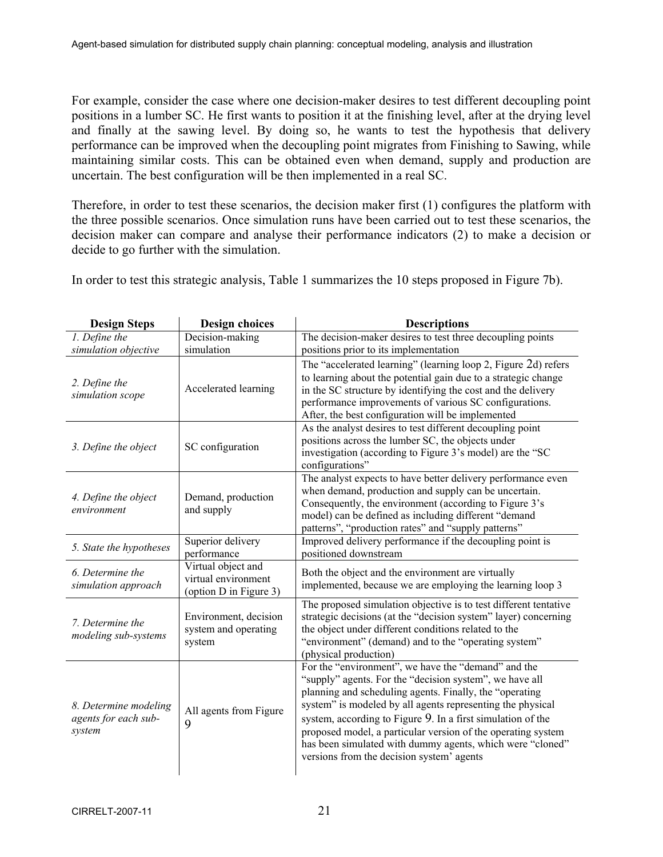For example, consider the case where one decision-maker desires to test different decoupling point positions in a lumber SC. He first wants to position it at the finishing level, after at the drying level and finally at the sawing level. By doing so, he wants to test the hypothesis that delivery performance can be improved when the decoupling point migrates from Finishing to Sawing, while maintaining similar costs. This can be obtained even when demand, supply and production are uncertain. The best configuration will be then implemented in a real SC.

Therefore, in order to test these scenarios, the decision maker first (1) configures the platform with the three possible scenarios. Once simulation runs have been carried out to test these scenarios, the decision maker can compare and analyse their performance indicators (2) to make a decision or decide to go further with the simulation.

In order to test this strategic analysis, Table 1 summarizes the 10 steps proposed in Figure 7b).

| <b>Design Steps</b>                                     | <b>Design choices</b>                                               | <b>Descriptions</b>                                                                                                                                                                                                                                                                                                                                                                                                                                                              |
|---------------------------------------------------------|---------------------------------------------------------------------|----------------------------------------------------------------------------------------------------------------------------------------------------------------------------------------------------------------------------------------------------------------------------------------------------------------------------------------------------------------------------------------------------------------------------------------------------------------------------------|
| 1. Define the<br>simulation objective                   | Decision-making<br>simulation                                       | The decision-maker desires to test three decoupling points<br>positions prior to its implementation                                                                                                                                                                                                                                                                                                                                                                              |
| 2. Define the<br>simulation scope                       | Accelerated learning                                                | The "accelerated learning" (learning loop 2, Figure 2d) refers<br>to learning about the potential gain due to a strategic change<br>in the SC structure by identifying the cost and the delivery<br>performance improvements of various SC configurations.<br>After, the best configuration will be implemented                                                                                                                                                                  |
| 3. Define the object                                    | SC configuration                                                    | As the analyst desires to test different decoupling point<br>positions across the lumber SC, the objects under<br>investigation (according to Figure 3's model) are the "SC<br>configurations"                                                                                                                                                                                                                                                                                   |
| 4. Define the object<br>environment                     | Demand, production<br>and supply                                    | The analyst expects to have better delivery performance even<br>when demand, production and supply can be uncertain.<br>Consequently, the environment (according to Figure 3's<br>model) can be defined as including different "demand<br>patterns", "production rates" and "supply patterns"                                                                                                                                                                                    |
| 5. State the hypotheses                                 | Superior delivery<br>performance                                    | Improved delivery performance if the decoupling point is<br>positioned downstream                                                                                                                                                                                                                                                                                                                                                                                                |
| 6. Determine the<br>simulation approach                 | Virtual object and<br>virtual environment<br>(option D in Figure 3) | Both the object and the environment are virtually<br>implemented, because we are employing the learning loop 3                                                                                                                                                                                                                                                                                                                                                                   |
| 7. Determine the<br>modeling sub-systems                | Environment, decision<br>system and operating<br>system             | The proposed simulation objective is to test different tentative<br>strategic decisions (at the "decision system" layer) concerning<br>the object under different conditions related to the<br>"environment" (demand) and to the "operating system"<br>(physical production)                                                                                                                                                                                                     |
| 8. Determine modeling<br>agents for each sub-<br>system | All agents from Figure<br>9                                         | For the "environment", we have the "demand" and the<br>"supply" agents. For the "decision system", we have all<br>planning and scheduling agents. Finally, the "operating<br>system" is modeled by all agents representing the physical<br>system, according to Figure 9. In a first simulation of the<br>proposed model, a particular version of the operating system<br>has been simulated with dummy agents, which were "cloned"<br>versions from the decision system' agents |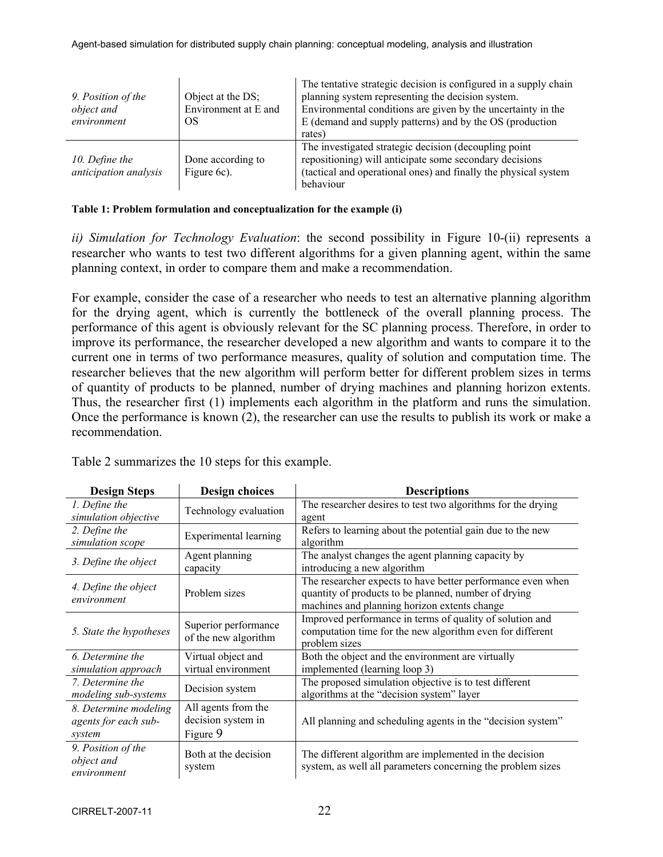| 9. Position of the<br>object and        | Object at the DS;<br>Environment at E and | The tentative strategic decision is configured in a supply chain<br>planning system representing the decision system.<br>Environmental conditions are given by the uncertainty in the             |
|-----------------------------------------|-------------------------------------------|---------------------------------------------------------------------------------------------------------------------------------------------------------------------------------------------------|
| environment                             | OS                                        | E (demand and supply patterns) and by the OS (production                                                                                                                                          |
|                                         |                                           | rates)                                                                                                                                                                                            |
| 10. Define the<br>anticipation analysis | Done according to<br>Figure 6c).          | The investigated strategic decision (decoupling point)<br>repositioning) will anticipate some secondary decisions<br>(tactical and operational ones) and finally the physical system<br>behaviour |

|  | Table 1: Problem formulation and conceptualization for the example (i) |  |  |  |
|--|------------------------------------------------------------------------|--|--|--|
|  |                                                                        |  |  |  |

*ii) Simulation for Technology Evaluation*: the second possibility in Figure 10-(ii) represents a researcher who wants to test two different algorithms for a given planning agent, within the same planning context, in order to compare them and make a recommendation.

For example, consider the case of a researcher who needs to test an alternative planning algorithm for the drying agent, which is currently the bottleneck of the overall planning process. The performance of this agent is obviously relevant for the SC planning process. Therefore, in order to improve its performance, the researcher developed a new algorithm and wants to compare it to the current one in terms of two performance measures, quality of solution and computation time. The researcher believes that the new algorithm will perform better for different problem sizes in terms of quantity of products to be planned, number of drying machines and planning horizon extents. Thus, the researcher first (1) implements each algorithm in the platform and runs the simulation. Once the performance is known (2), the researcher can use the results to publish its work or make a recommendation.

| <b>Design Steps</b>                                     | <b>Design choices</b>                                 | <b>Descriptions</b>                                                                                                                                                 |
|---------------------------------------------------------|-------------------------------------------------------|---------------------------------------------------------------------------------------------------------------------------------------------------------------------|
| 1. Define the<br>simulation objective                   | Technology evaluation                                 | The researcher desires to test two algorithms for the drying<br>agent                                                                                               |
| 2. Define the<br>simulation scope                       | Experimental learning                                 | Refers to learning about the potential gain due to the new<br>algorithm                                                                                             |
| 3. Define the object                                    | Agent planning<br>capacity                            | The analyst changes the agent planning capacity by<br>introducing a new algorithm                                                                                   |
| 4. Define the object<br>environment                     | Problem sizes                                         | The researcher expects to have better performance even when<br>quantity of products to be planned, number of drying<br>machines and planning horizon extents change |
| 5. State the hypotheses                                 | Superior performance<br>of the new algorithm          | Improved performance in terms of quality of solution and<br>computation time for the new algorithm even for different<br>problem sizes                              |
| 6. Determine the<br>simulation approach                 | Virtual object and<br>virtual environment             | Both the object and the environment are virtually<br>implemented (learning loop 3)                                                                                  |
| 7. Determine the<br>modeling sub-systems                | Decision system                                       | The proposed simulation objective is to test different<br>algorithms at the "decision system" layer                                                                 |
| 8. Determine modeling<br>agents for each sub-<br>system | All agents from the<br>decision system in<br>Figure 9 | All planning and scheduling agents in the "decision system"                                                                                                         |
| 9. Position of the<br>object and<br>environment         | Both at the decision<br>system                        | The different algorithm are implemented in the decision<br>system, as well all parameters concerning the problem sizes                                              |

Table 2 summarizes the 10 steps for this example.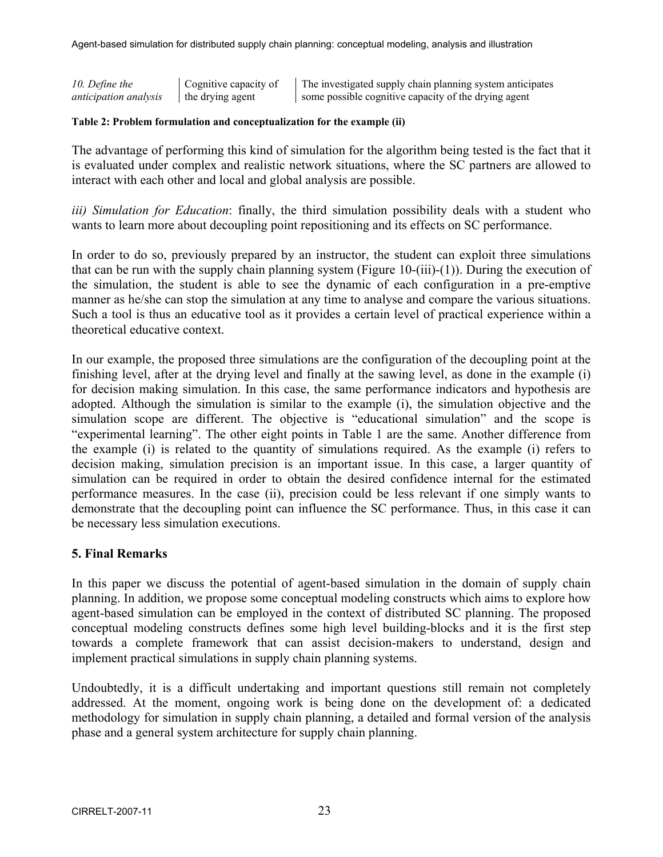*10. Define the anticipation analysis*  Cognitive capacity of the drying agent The investigated supply chain planning system anticipates some possible cognitive capacity of the drying agent

#### **Table 2: Problem formulation and conceptualization for the example (ii)**

The advantage of performing this kind of simulation for the algorithm being tested is the fact that it is evaluated under complex and realistic network situations, where the SC partners are allowed to interact with each other and local and global analysis are possible.

*iii) Simulation for Education*: finally, the third simulation possibility deals with a student who wants to learn more about decoupling point repositioning and its effects on SC performance.

In order to do so, previously prepared by an instructor, the student can exploit three simulations that can be run with the supply chain planning system (Figure 10-(iii)-(1)). During the execution of the simulation, the student is able to see the dynamic of each configuration in a pre-emptive manner as he/she can stop the simulation at any time to analyse and compare the various situations. Such a tool is thus an educative tool as it provides a certain level of practical experience within a theoretical educative context.

In our example, the proposed three simulations are the configuration of the decoupling point at the finishing level, after at the drying level and finally at the sawing level, as done in the example (i) for decision making simulation. In this case, the same performance indicators and hypothesis are adopted. Although the simulation is similar to the example (i), the simulation objective and the simulation scope are different. The objective is "educational simulation" and the scope is "experimental learning". The other eight points in Table 1 are the same. Another difference from the example (i) is related to the quantity of simulations required. As the example (i) refers to decision making, simulation precision is an important issue. In this case, a larger quantity of simulation can be required in order to obtain the desired confidence internal for the estimated performance measures. In the case (ii), precision could be less relevant if one simply wants to demonstrate that the decoupling point can influence the SC performance. Thus, in this case it can be necessary less simulation executions.

### **5. Final Remarks**

In this paper we discuss the potential of agent-based simulation in the domain of supply chain planning. In addition, we propose some conceptual modeling constructs which aims to explore how agent-based simulation can be employed in the context of distributed SC planning. The proposed conceptual modeling constructs defines some high level building-blocks and it is the first step towards a complete framework that can assist decision-makers to understand, design and implement practical simulations in supply chain planning systems.

Undoubtedly, it is a difficult undertaking and important questions still remain not completely addressed. At the moment, ongoing work is being done on the development of: a dedicated methodology for simulation in supply chain planning, a detailed and formal version of the analysis phase and a general system architecture for supply chain planning.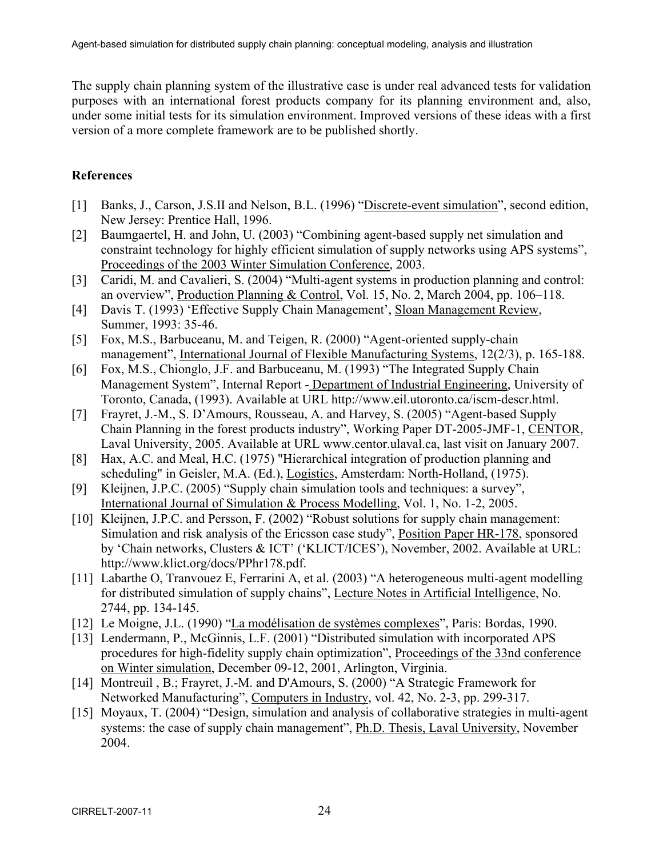The supply chain planning system of the illustrative case is under real advanced tests for validation purposes with an international forest products company for its planning environment and, also, under some initial tests for its simulation environment. Improved versions of these ideas with a first version of a more complete framework are to be published shortly.

# **References**

- [1] Banks, J., Carson, J.S.II and Nelson, B.L. (1996) "Discrete-event simulation", second edition, New Jersey: Prentice Hall, 1996.
- [2] Baumgaertel, H. and John, U. (2003) "Combining agent-based supply net simulation and constraint technology for highly efficient simulation of supply networks using APS systems", Proceedings of the 2003 Winter Simulation Conference, 2003.
- [3] Caridi, M. and Cavalieri, S. (2004) "Multi-agent systems in production planning and control: an overview", Production Planning & Control, Vol. 15, No. 2, March 2004, pp. 106–118.
- [4] Davis T. (1993) 'Effective Supply Chain Management', Sloan Management Review, Summer, 1993: 35-46.
- [5] Fox, M.S., Barbuceanu, M. and Teigen, R. (2000) "Agent-oriented supply-chain management", International Journal of Flexible Manufacturing Systems, 12(2/3), p. 165-188.
- [6] Fox, M.S., Chionglo, J.F. and Barbuceanu, M. (1993) "The Integrated Supply Chain Management System", Internal Report - Department of Industrial Engineering, University of Toronto, Canada, (1993). Available at URL http://www.eil.utoronto.ca/iscm-descr.html.
- [7] Frayret, J.-M., S. D'Amours, Rousseau, A. and Harvey, S. (2005) "Agent-based Supply Chain Planning in the forest products industry", Working Paper DT-2005-JMF-1, CENTOR, Laval University, 2005. Available at URL www.centor.ulaval.ca, last visit on January 2007.
- [8] Hax, A.C. and Meal, H.C. (1975) "Hierarchical integration of production planning and scheduling" in Geisler, M.A. (Ed.), Logistics, Amsterdam: North-Holland, (1975).
- [9] Kleijnen, J.P.C. (2005) "Supply chain simulation tools and techniques: a survey", International Journal of Simulation & Process Modelling, Vol. 1, No. 1-2, 2005.
- [10] Kleijnen, J.P.C. and Persson, F. (2002) "Robust solutions for supply chain management: Simulation and risk analysis of the Ericsson case study", Position Paper HR-178, sponsored by 'Chain networks, Clusters & ICT' ('KLICT/ICES'), November, 2002. Available at URL: http://www.klict.org/docs/PPhr178.pdf.
- [11] Labarthe O, Tranvouez E, Ferrarini A, et al. (2003) "A heterogeneous multi-agent modelling for distributed simulation of supply chains", Lecture Notes in Artificial Intelligence, No. 2744, pp. 134-145.
- [12] Le Moigne, J.L. (1990) "La modélisation de systèmes complexes", Paris: Bordas, 1990.
- [13] Lendermann, P., McGinnis, L.F. (2001) "Distributed simulation with incorporated APS procedures for high-fidelity supply chain optimization", Proceedings of the 33nd conference on Winter simulation, December 09-12, 2001, Arlington, Virginia.
- [14] Montreuil, B.; Frayret, J.-M. and D'Amours, S. (2000) "A Strategic Framework for Networked Manufacturing", Computers in Industry, vol. 42, No. 2-3, pp. 299-317.
- [15] Moyaux, T. (2004) "Design, simulation and analysis of collaborative strategies in multi-agent systems: the case of supply chain management", Ph.D. Thesis, Laval University, November 2004.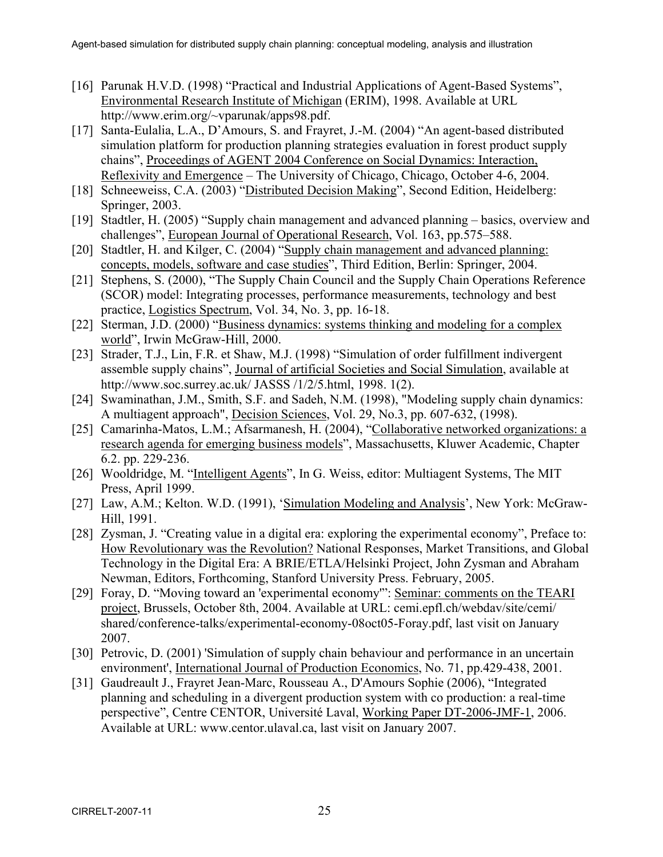- [16] Parunak H.V.D. (1998) "Practical and Industrial Applications of Agent-Based Systems", Environmental Research Institute of Michigan (ERIM), 1998. Available at URL http://www.erim.org/~vparunak/apps98.pdf.
- [17] Santa-Eulalia, L.A., D'Amours, S. and Frayret, J.-M. (2004) "An agent-based distributed simulation platform for production planning strategies evaluation in forest product supply chains", Proceedings of AGENT 2004 Conference on Social Dynamics: Interaction, Reflexivity and Emergence – The University of Chicago, Chicago, October 4-6, 2004.
- [18] Schneeweiss, C.A. (2003) "Distributed Decision Making", Second Edition, Heidelberg: Springer, 2003.
- [19] Stadtler, H. (2005) "Supply chain management and advanced planning basics, overview and challenges", European Journal of Operational Research, Vol. 163, pp.575–588.
- [20] Stadtler, H. and Kilger, C. (2004) "Supply chain management and advanced planning: concepts, models, software and case studies", Third Edition, Berlin: Springer, 2004.
- [21] Stephens, S. (2000), "The Supply Chain Council and the Supply Chain Operations Reference (SCOR) model: Integrating processes, performance measurements, technology and best practice, Logistics Spectrum, Vol. 34, No. 3, pp. 16-18.
- [22] Sterman, J.D. (2000) "Business dynamics: systems thinking and modeling for a complex world", Irwin McGraw-Hill, 2000.
- [23] Strader, T.J., Lin, F.R. et Shaw, M.J. (1998) "Simulation of order fulfillment indivergent assemble supply chains", Journal of artificial Societies and Social Simulation, available at http://www.soc.surrey.ac.uk/ JASSS /1/2/5.html, 1998. 1(2).
- [24] Swaminathan, J.M., Smith, S.F. and Sadeh, N.M. (1998), "Modeling supply chain dynamics: A multiagent approach", Decision Sciences, Vol. 29, No.3, pp. 607-632, (1998).
- [25] Camarinha-Matos, L.M.; Afsarmanesh, H. (2004), "Collaborative networked organizations: a research agenda for emerging business models", Massachusetts, Kluwer Academic, Chapter 6.2. pp. 229-236.
- [26] Wooldridge, M. "Intelligent Agents", In G. Weiss, editor: Multiagent Systems, The MIT Press, April 1999.
- [27] Law, A.M.; Kelton. W.D. (1991), 'Simulation Modeling and Analysis', New York: McGraw-Hill, 1991.
- [28] Zysman, J. "Creating value in a digital era: exploring the experimental economy", Preface to: How Revolutionary was the Revolution? National Responses, Market Transitions, and Global Technology in the Digital Era: A BRIE/ETLA/Helsinki Project, John Zysman and Abraham Newman, Editors, Forthcoming, Stanford University Press. February, 2005.
- [29] Foray, D. "Moving toward an 'experimental economy'": Seminar: comments on the TEARI project, Brussels, October 8th, 2004. Available at URL: cemi.epfl.ch/webdav/site/cemi/ shared/conference-talks/experimental-economy-08oct05-Foray.pdf, last visit on January 2007.
- [30] Petrovic, D. (2001) 'Simulation of supply chain behaviour and performance in an uncertain environment', International Journal of Production Economics, No. 71, pp.429-438, 2001.
- [31] Gaudreault J., Frayret Jean-Marc, Rousseau A., D'Amours Sophie (2006), "Integrated planning and scheduling in a divergent production system with co production: a real-time perspective", Centre CENTOR, Université Laval, Working Paper DT-2006-JMF-1, 2006. Available at URL: www.centor.ulaval.ca, last visit on January 2007.